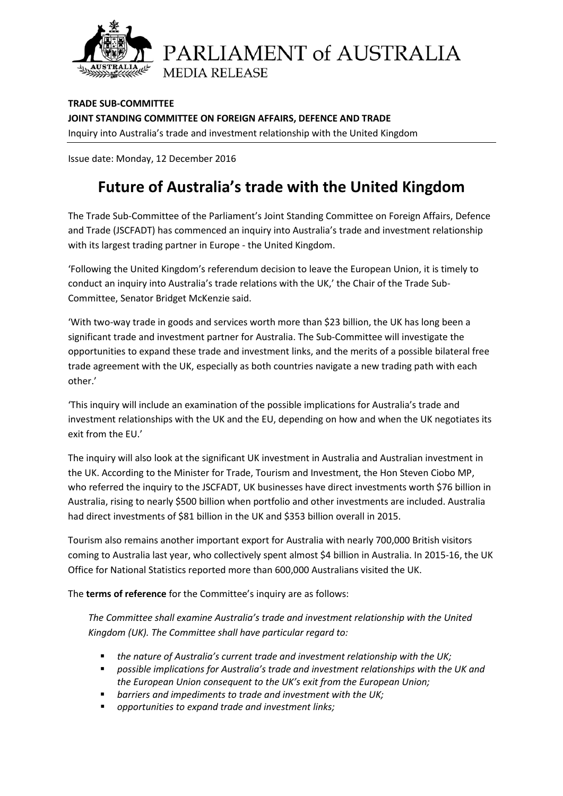

**TRADE SUB-COMMITTEE JOINT STANDING COMMITTEE ON FOREIGN AFFAIRS, DEFENCE AND TRADE** Inquiry into Australia's trade and investment relationship with the United Kingdom

Issue date: Monday, 12 December 2016

## **Future of Australia's trade with the United Kingdom**

The Trade Sub-Committee of the Parliament's Joint Standing Committee on Foreign Affairs, Defence and Trade (JSCFADT) has commenced an inquiry into Australia's trade and investment relationship with its largest trading partner in Europe - the United Kingdom.

'Following the United Kingdom's referendum decision to leave the European Union, it is timely to conduct an inquiry into Australia's trade relations with the UK,' the Chair of the Trade Sub-Committee, Senator Bridget McKenzie said.

'With two-way trade in goods and services worth more than \$23 billion, the UK has long been a significant trade and investment partner for Australia. The Sub-Committee will investigate the opportunities to expand these trade and investment links, and the merits of a possible bilateral free trade agreement with the UK, especially as both countries navigate a new trading path with each other.'

'This inquiry will include an examination of the possible implications for Australia's trade and investment relationships with the UK and the EU, depending on how and when the UK negotiates its exit from the EU.'

The inquiry will also look at the significant UK investment in Australia and Australian investment in the UK. According to the Minister for Trade, Tourism and Investment, the Hon Steven Ciobo MP, who referred the inquiry to the JSCFADT, UK businesses have direct investments worth \$76 billion in Australia, rising to nearly \$500 billion when portfolio and other investments are included. Australia had direct investments of \$81 billion in the UK and \$353 billion overall in 2015.

Tourism also remains another important export for Australia with nearly 700,000 British visitors coming to Australia last year, who collectively spent almost \$4 billion in Australia. In 2015-16, the UK Office for National Statistics reported more than 600,000 Australians visited the UK.

The **terms of reference** for the Committee's inquiry are as follows:

*The Committee shall examine Australia's trade and investment relationship with the United Kingdom (UK). The Committee shall have particular regard to:*

- *the nature of Australia's current trade and investment relationship with the UK;*
- *possible implications for Australia's trade and investment relationships with the UK and the European Union consequent to the UK's exit from the European Union;*
- *barriers and impediments to trade and investment with the UK;*
- *opportunities to expand trade and investment links;*